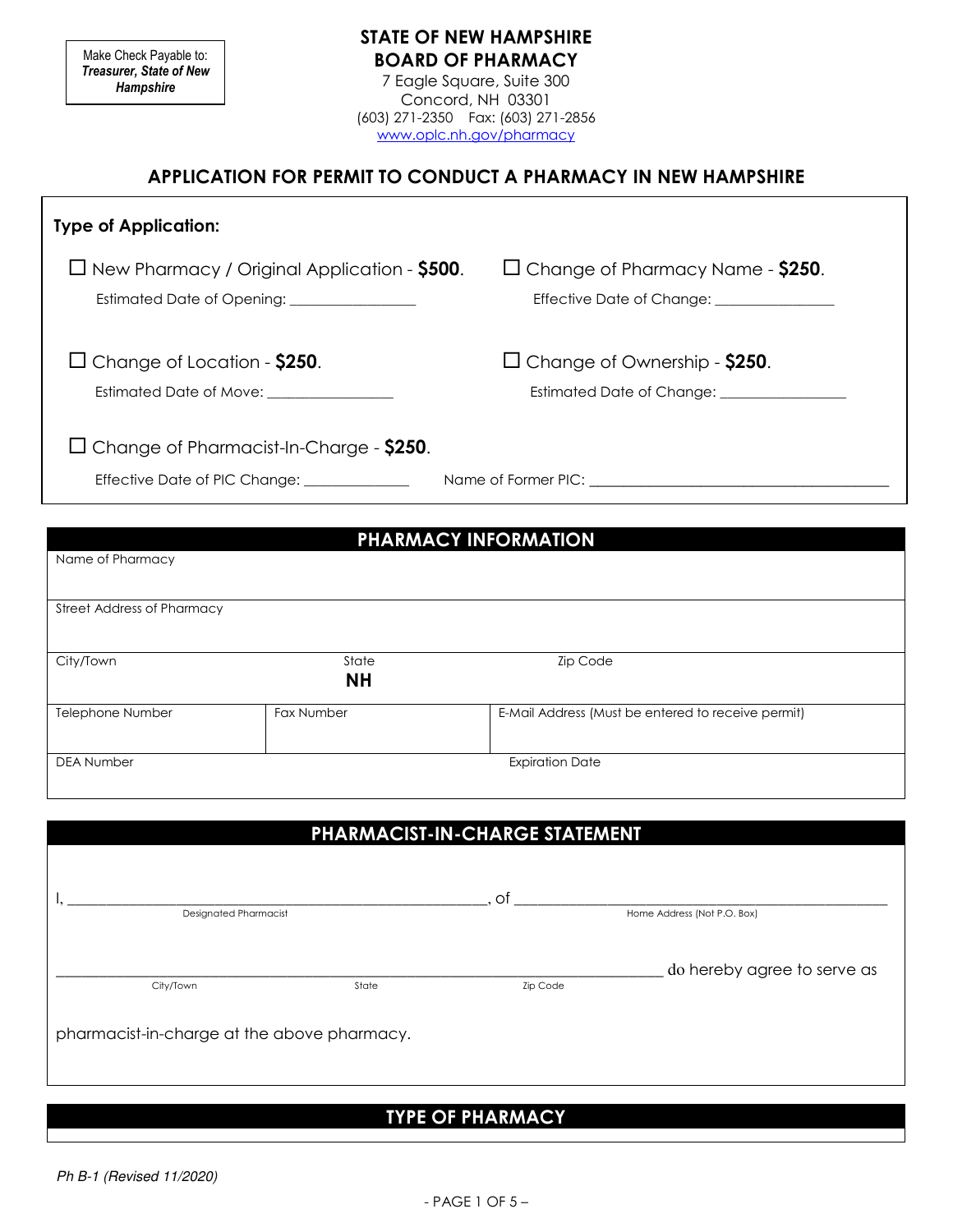Make Check Payable to: Treasurer, State of New **Hampshire** 

### STATE OF NEW HAMPSHIRE BOARD OF PHARMACY

7 Eagle Square, Suite 300 Concord, NH 03301 (603) 271-2350 Fax: (603) 271-2856 www.oplc.nh.gov/pharmacy

#### APPLICATION FOR PERMIT TO CONDUCT A PHARMACY IN NEW HAMPSHIRE

| <b>Type of Application:</b>                                                                          |                                                                      |
|------------------------------------------------------------------------------------------------------|----------------------------------------------------------------------|
| $\Box$ New Pharmacy / Original Application - \$500.<br>Estimated Date of Opening: __________________ | $\Box$ Change of Pharmacy Name - \$250.<br>Effective Date of Change: |
| $\Box$ Change of Location - \$250.<br>Estimated Date of Move: ________________                       | $\Box$ Change of Ownership - \$250.                                  |
| $\Box$ Change of Pharmacist-In-Charge - \$250.                                                       |                                                                      |
| Effective Date of PIC Change:                                                                        |                                                                      |
| Name of Pharmacy                                                                                     | <b>PHARMACY INFORMATION</b>                                          |

| <b>Street Address of Pharmacy</b> |                    |                                                    |
|-----------------------------------|--------------------|----------------------------------------------------|
| City/Town                         | State<br><b>NH</b> | <b>Zip Code</b>                                    |
| Telephone Number                  | Fax Number         | E-Mail Address (Must be entered to receive permit) |
| <b>DEA Number</b>                 |                    | <b>Expiration Date</b>                             |

|                              |       | PHARMACIST-IN-CHARGE STATEMENT |                             |
|------------------------------|-------|--------------------------------|-----------------------------|
|                              |       | of                             |                             |
| <b>Designated Pharmacist</b> |       | Home Address (Not P.O. Box)    |                             |
|                              |       |                                | do hereby agree to serve as |
| City/Town                    | State | <b>Zip Code</b>                |                             |

#### TYPE OF PHARMACY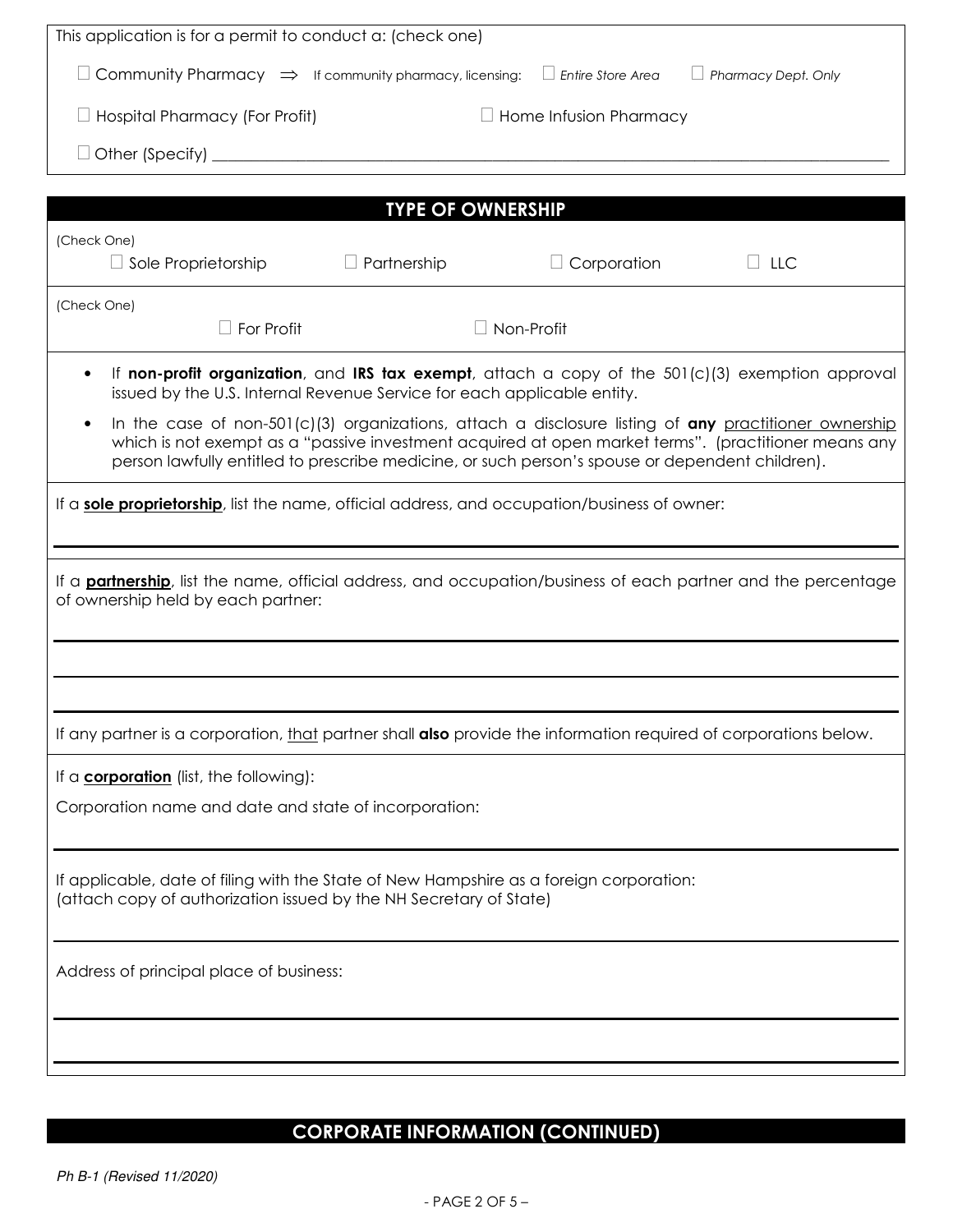| This application is for a permit to conduct a: (check one)                                                                                                                                                                                                                                                                    |  |  |
|-------------------------------------------------------------------------------------------------------------------------------------------------------------------------------------------------------------------------------------------------------------------------------------------------------------------------------|--|--|
| $\Box$ Community Pharmacy $\Rightarrow$ If community pharmacy, licensing:<br>$\Box$ Entire Store Area<br>$\Box$ Pharmacy Dept. Only                                                                                                                                                                                           |  |  |
| $\Box$ Hospital Pharmacy (For Profit)<br>$\Box$ Home Infusion Pharmacy                                                                                                                                                                                                                                                        |  |  |
|                                                                                                                                                                                                                                                                                                                               |  |  |
| <b>TYPE OF OWNERSHIP</b>                                                                                                                                                                                                                                                                                                      |  |  |
| (Check One)                                                                                                                                                                                                                                                                                                                   |  |  |
| $\Box$ Partnership<br>$\Box$ Corporation<br>$\Box$ LLC<br>$\Box$ Sole Proprietorship                                                                                                                                                                                                                                          |  |  |
| (Check One)                                                                                                                                                                                                                                                                                                                   |  |  |
| For Profit<br>Non-Profit                                                                                                                                                                                                                                                                                                      |  |  |
| If non-profit organization, and IRS tax exempt, attach a copy of the $501(c)(3)$ exemption approval<br>$\bullet$<br>issued by the U.S. Internal Revenue Service for each applicable entity.                                                                                                                                   |  |  |
| In the case of non-501(c)(3) organizations, attach a disclosure listing of any practitioner ownership<br>$\bullet$<br>which is not exempt as a "passive investment acquired at open market terms". (practitioner means any<br>person lawfully entitled to prescribe medicine, or such person's spouse or dependent children). |  |  |
| If a <b>sole proprietorship</b> , list the name, official address, and occupation/business of owner:                                                                                                                                                                                                                          |  |  |
| If a <b>partnership</b> , list the name, official address, and occupation/business of each partner and the percentage<br>of ownership held by each partner:                                                                                                                                                                   |  |  |
|                                                                                                                                                                                                                                                                                                                               |  |  |
| If any partner is a corporation, that partner shall <b>also</b> provide the information required of corporations below.                                                                                                                                                                                                       |  |  |
| If a <b>corporation</b> (list, the following):                                                                                                                                                                                                                                                                                |  |  |
| Corporation name and date and state of incorporation:                                                                                                                                                                                                                                                                         |  |  |
| If applicable, date of filing with the State of New Hampshire as a foreign corporation:<br>(attach copy of authorization issued by the NH Secretary of State)                                                                                                                                                                 |  |  |
| Address of principal place of business:                                                                                                                                                                                                                                                                                       |  |  |
|                                                                                                                                                                                                                                                                                                                               |  |  |
|                                                                                                                                                                                                                                                                                                                               |  |  |

# CORPORATE INFORMATION (CONTINUED)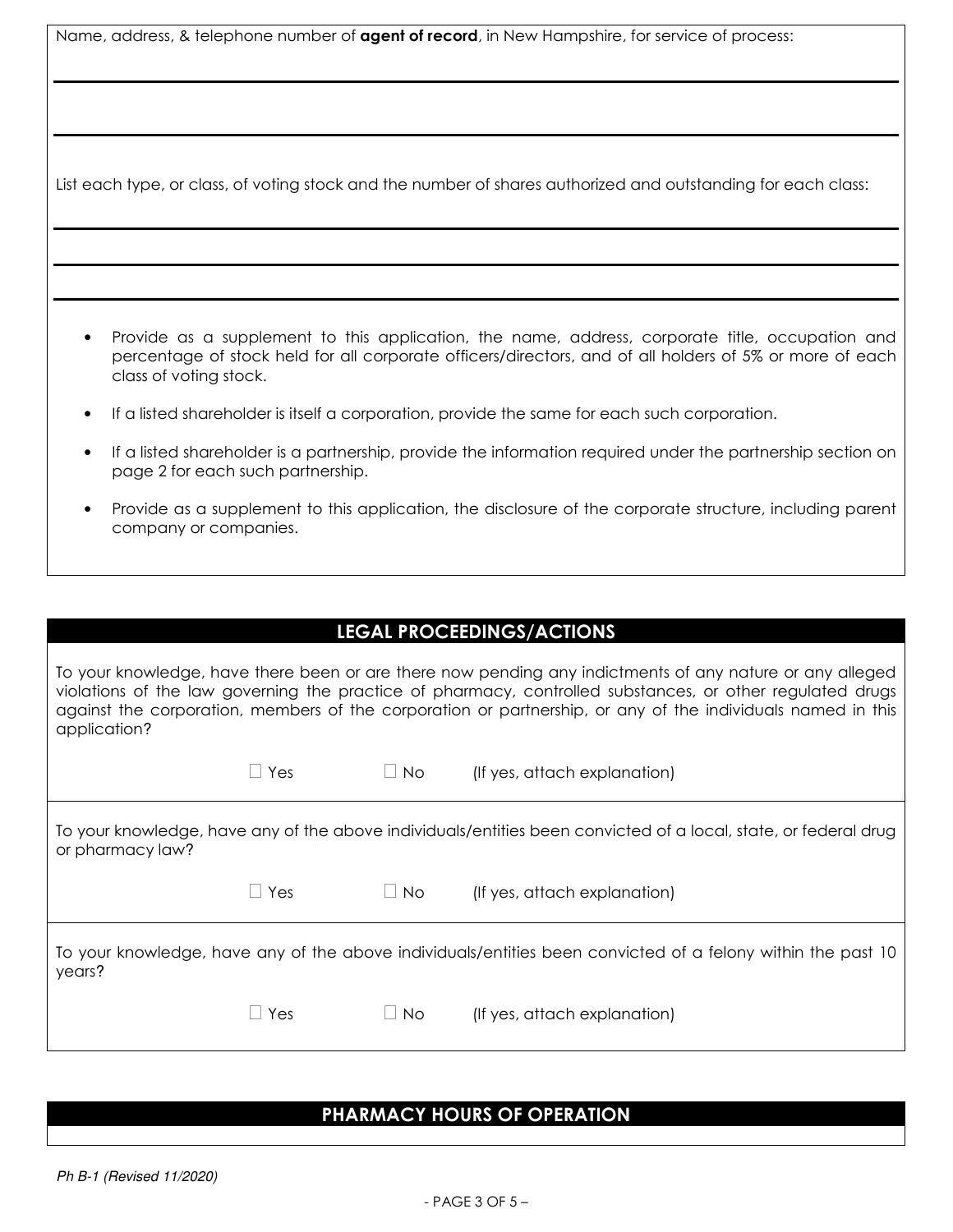|  | Name, address, & telephone number of <b>agent of record</b> , in New Hampshire, for service of process: |  |
|--|---------------------------------------------------------------------------------------------------------|--|
|  |                                                                                                         |  |

List each type, or class, of voting stock and the number of shares authorized and outstanding for each class:

- Provide as a supplement to this application, the name, address, corporate title, occupation and percentage of stock held for all corporate officers/directors, and of all holders of 5% or more of each class of voting stock.
- If a listed shareholder is itself a corporation, provide the same for each such corporation.
- If a listed shareholder is a partnership, provide the information required under the partnership section on page 2 for each such partnership.
- Provide as a supplement to this application, the disclosure of the corporate structure, including parent company or companies.

To your knowledge, have there been or are there now pending any indictments of any nature or any alleged violations of the law governing the practice of pharmacy, controlled substances, or other regulated drugs against the corporation, members of the corporation or partnership, or any of the individuals named in this application?

|                  | $\Box$ Yes | $\Box$ No | (If yes, attach explanation)                                                                                    |
|------------------|------------|-----------|-----------------------------------------------------------------------------------------------------------------|
| or pharmacy law? |            |           | To your knowledge, have any of the above individuals/entities been convicted of a local, state, or federal drug |
|                  | $\Box$ Yes | $\Box$ No | (If yes, attach explanation)                                                                                    |
| years?           |            |           | To your knowledge, have any of the above individuals/entities been convicted of a felony within the past 10     |
|                  | Yes        | $\Box$ No | (If yes, attach explanation)                                                                                    |

#### PHARMACY HOURS OF OPERATION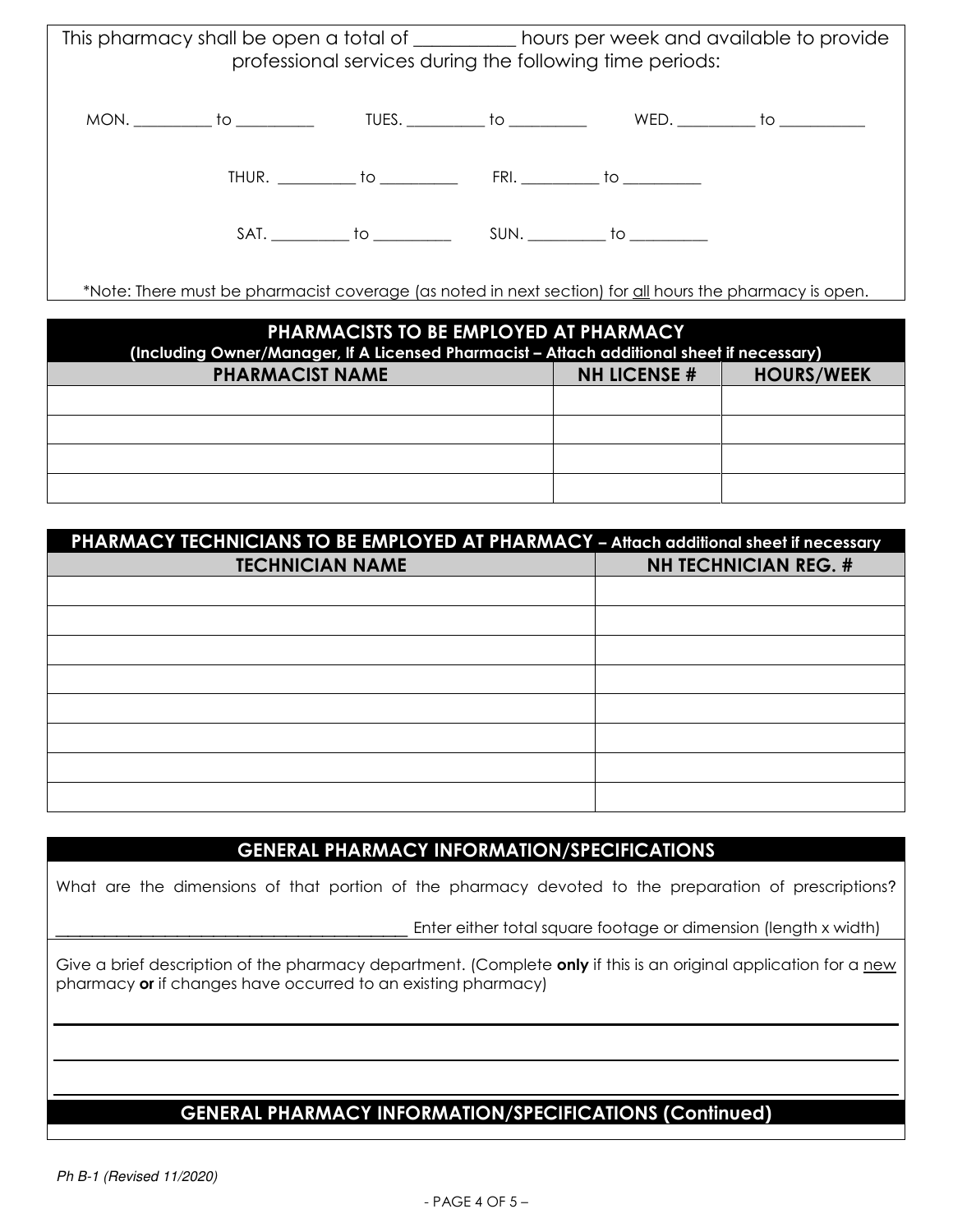|  |  | This pharmacy shall be open a total of ___________ hours per week and available to provide<br>professional services during the following time periods: |  |
|--|--|--------------------------------------------------------------------------------------------------------------------------------------------------------|--|
|  |  | MON. __________ to ___________   TUES. __________ to ___________   WED. __________ to ___________                                                      |  |
|  |  |                                                                                                                                                        |  |
|  |  |                                                                                                                                                        |  |
|  |  | *Note: There must be pharmacist coverage (as noted in next section) for all hours the pharmacy is open.                                                |  |

| PHARMACISTS TO BE EMPLOYED AT PHARMACY<br>(Including Owner/Manager, If A Licensed Pharmacist - Attach additional sheet if necessary) |  |  |  |  |
|--------------------------------------------------------------------------------------------------------------------------------------|--|--|--|--|
| <b>PHARMACIST NAME</b><br><b>NH LICENSE #</b><br><b>HOURS/WEEK</b>                                                                   |  |  |  |  |
|                                                                                                                                      |  |  |  |  |
|                                                                                                                                      |  |  |  |  |
|                                                                                                                                      |  |  |  |  |
|                                                                                                                                      |  |  |  |  |

| PHARMACY TECHNICIANS TO BE EMPLOYED AT PHARMACY - Attach additional sheet if necessary |                             |  |
|----------------------------------------------------------------------------------------|-----------------------------|--|
| <b>TECHNICIAN NAME</b>                                                                 | <b>NH TECHNICIAN REG. #</b> |  |
|                                                                                        |                             |  |
|                                                                                        |                             |  |
|                                                                                        |                             |  |
|                                                                                        |                             |  |
|                                                                                        |                             |  |
|                                                                                        |                             |  |
|                                                                                        |                             |  |
|                                                                                        |                             |  |

#### GENERAL PHARMACY INFORMATION/SPECIFICATIONS

What are the dimensions of that portion of the pharmacy devoted to the preparation of prescriptions?

Enter either total square footage or dimension (length x width)

Give a brief description of the pharmacy department. (Complete only if this is an original application for a new pharmacy or if changes have occurred to an existing pharmacy)

## GENERAL PHARMACY INFORMATION/SPECIFICATIONS (Continued)